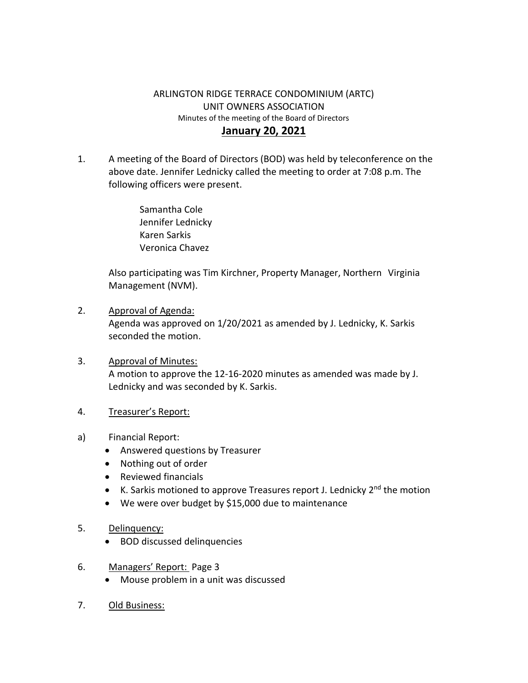## ARLINGTON RIDGE TERRACE CONDOMINIUM (ARTC) UNIT OWNERS ASSOCIATION Minutes of the meeting of the Board of Directors **January 20, 2021**

1. A meeting of the Board of Directors (BOD) was held by teleconference on the above date. Jennifer Lednicky called the meeting to order at 7:08 p.m. The following officers were present.

> Samantha Cole Jennifer Lednicky Karen Sarkis Veronica Chavez

Also participating was Tim Kirchner, Property Manager, Northern Virginia Management (NVM).

- 2. Approval of Agenda: Agenda was approved on 1/20/2021 as amended by J. Lednicky, K. Sarkis seconded the motion.
- 3. Approval of Minutes: A motion to approve the 12-16-2020 minutes as amended was made by J. Lednicky and was seconded by K. Sarkis.
- 4. Treasurer's Report:
- a) Financial Report:
	- Answered questions by Treasurer
	- Nothing out of order
	- Reviewed financials
	- K. Sarkis motioned to approve Treasures report J. Lednicky 2<sup>nd</sup> the motion
	- We were over budget by \$15,000 due to maintenance
- 5. Delinquency:
	- BOD discussed delinquencies
- 6. Managers' Report: Page 3
	- Mouse problem in a unit was discussed
- 7. Old Business: